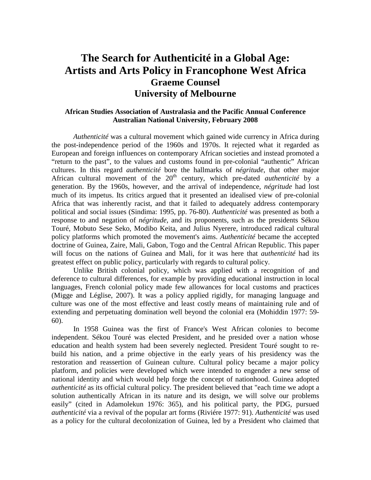## **The Search for Authenticité in a Global Age: Artists and Arts Policy in Francophone West Africa Graeme Counsel University of Melbourne**

## **African Studies Association of Australasia and the Pacific Annual Conference Australian National University, February 2008**

*Authenticité* was a cultural movement which gained wide currency in Africa during the post-independence period of the 1960s and 1970s. It rejected what it regarded as European and foreign influences on contemporary African societies and instead promoted a "return to the past", to the values and customs found in pre-colonial "authentic" African cultures. In this regard *authenticité* bore the hallmarks of *négritude*, that other major African cultural movement of the 20<sup>th</sup> century, which pre-dated *authenticité* by a generation. By the 1960s, however, and the arrival of independence, *négritude* had lost much of its impetus. Its critics argued that it presented an idealised view of pre-colonial Africa that was inherently racist, and that it failed to adequately address contemporary political and social issues (Sindima: 1995, pp. 76-80). *Authenticité* was presented as both a response to and negation of *négritude*, and its proponents, such as the presidents Sékou Touré, Mobuto Sese Seko, Modibo Keita, and Julius Nyerere, introduced radical cultural policy platforms which promoted the movement's aims. *Authenticité* became the accepted doctrine of Guinea, Zaire, Mali, Gabon, Togo and the Central African Republic. This paper will focus on the nations of Guinea and Mali, for it was here that *authenticité* had its greatest effect on public policy, particularly with regards to cultural policy.

Unlike British colonial policy, which was applied with a recognition of and deference to cultural differences, for example by providing educational instruction in local languages, French colonial policy made few allowances for local customs and practices (Migge and Léglise, 2007). It was a policy applied rigidly, for managing language and culture was one of the most effective and least costly means of maintaining rule and of extending and perpetuating domination well beyond the colonial era (Mohiddin 1977: 59- 60).

In 1958 Guinea was the first of France's West African colonies to become independent. Sékou Touré was elected President, and he presided over a nation whose education and health system had been severely neglected. President Touré sought to rebuild his nation, and a prime objective in the early years of his presidency was the restoration and reassertion of Guinean culture. Cultural policy became a major policy platform, and policies were developed which were intended to engender a new sense of national identity and which would help forge the concept of nationhood. Guinea adopted *authenticité* as its official cultural policy. The president believed that "each time we adopt a solution authentically African in its nature and its design, we will solve our problems easily" (cited in Adamolekun 1976: 365), and his political party, the PDG, pursued *authenticité* via a revival of the popular art forms (Riviére 1977: 91). *Authenticité* was used as a policy for the cultural decolonization of Guinea, led by a President who claimed that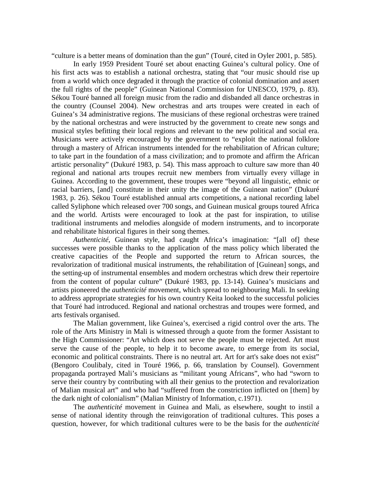"culture is a better means of domination than the gun" (Touré, cited in Oyler 2001, p. 585).

In early 1959 President Touré set about enacting Guinea's cultural policy. One of his first acts was to establish a national orchestra, stating that "our music should rise up from a world which once degraded it through the practice of colonial domination and assert the full rights of the people" (Guinean National Commission for UNESCO, 1979, p. 83). Sékou Touré banned all foreign music from the radio and disbanded all dance orchestras in the country (Counsel 2004). New orchestras and arts troupes were created in each of Guinea's 34 administrative regions. The musicians of these regional orchestras were trained by the national orchestras and were instructed by the government to create new songs and musical styles befitting their local regions and relevant to the new political and social era. Musicians were actively encouraged by the government to "exploit the national folklore through a mastery of African instruments intended for the rehabilitation of African culture; to take part in the foundation of a mass civilization; and to promote and affirm the African artistic personality" (Dukuré 1983, p. 54). This mass approach to culture saw more than 40 regional and national arts troupes recruit new members from virtually every village in Guinea. According to the government, these troupes were "beyond all linguistic, ethnic or racial barriers, [and] constitute in their unity the image of the Guinean nation" (Dukuré 1983, p. 26). Sékou Touré established annual arts competitions, a national recording label called Syliphone which released over 700 songs, and Guinean musical groups toured Africa and the world. Artists were encouraged to look at the past for inspiration, to utilise traditional instruments and melodies alongside of modern instruments, and to incorporate and rehabilitate historical figures in their song themes.

*Authenticité*, Guinean style, had caught Africa's imagination: "[all of] these successes were possible thanks to the application of the mass policy which liberated the creative capacities of the People and supported the return to African sources, the revalorization of traditional musical instruments, the rehabilitation of [Guinean] songs, and the setting-up of instrumental ensembles and modern orchestras which drew their repertoire from the content of popular culture" (Dukuré 1983, pp. 13-14). Guinea's musicians and artists pioneered the *authenticité* movement, which spread to neighbouring Mali. In seeking to address appropriate strategies for his own country Keita looked to the successful policies that Touré had introduced. Regional and national orchestras and troupes were formed, and arts festivals organised.

The Malian government, like Guinea's, exercised a rigid control over the arts. The role of the Arts Ministry in Mali is witnessed through a quote from the former Assistant to the High Commissioner: "Art which does not serve the people must be rejected. Art must serve the cause of the people, to help it to become aware, to emerge from its social, economic and political constraints. There is no neutral art. Art for art's sake does not exist" (Bengoro Coulibaly, cited in Touré 1966, p. 66, translation by Counsel). Government propaganda portrayed Mali's musicians as "militant young Africans", who had "sworn to serve their country by contributing with all their genius to the protection and revalorization of Malian musical art" and who had "suffered from the constriction inflicted on [them] by the dark night of colonialism" (Malian Ministry of Information, c.1971).

The *authenticité* movement in Guinea and Mali, as elsewhere, sought to instil a sense of national identity through the reinvigoration of traditional cultures. This poses a question, however, for which traditional cultures were to be the basis for the *authenticité*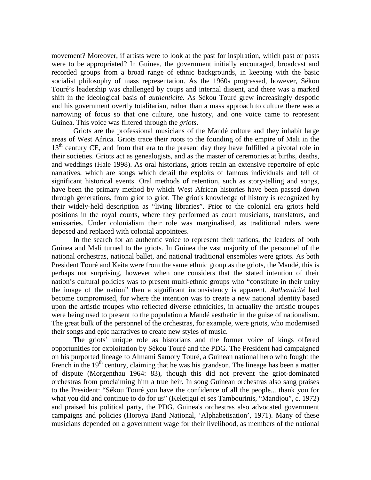movement? Moreover, if artists were to look at the past for inspiration, which past or pasts were to be appropriated? In Guinea, the government initially encouraged, broadcast and recorded groups from a broad range of ethnic backgrounds, in keeping with the basic socialist philosophy of mass representation. As the 1960s progressed, however, Sékou Touré's leadership was challenged by coups and internal dissent, and there was a marked shift in the ideological basis of *authenticité*. As Sékou Touré grew increasingly despotic and his government overtly totalitarian, rather than a mass approach to culture there was a narrowing of focus so that one culture, one history, and one voice came to represent Guinea. This voice was filtered through the *griots*.

Griots are the professional musicians of the Mandé culture and they inhabit large areas of West Africa. Griots trace their roots to the founding of the empire of Mali in the 13<sup>th</sup> century CE, and from that era to the present day they have fulfilled a pivotal role in their societies. Griots act as genealogists, and as the master of ceremonies at births, deaths, and weddings (Hale 1998). As oral historians, griots retain an extensive repertoire of epic narratives, which are songs which detail the exploits of famous individuals and tell of significant historical events. Oral methods of retention, such as story-telling and songs, have been the primary method by which West African histories have been passed down through generations, from griot to griot. The griot's knowledge of history is recognized by their widely-held description as "living libraries". Prior to the colonial era griots held positions in the royal courts, where they performed as court musicians, translators, and emissaries. Under colonialism their role was marginalised, as traditional rulers were deposed and replaced with colonial appointees.

In the search for an authentic voice to represent their nations, the leaders of both Guinea and Mali turned to the griots. In Guinea the vast majority of the personnel of the national orchestras, national ballet, and national traditional ensembles were griots. As both President Touré and Keita were from the same ethnic group as the griots, the Mandé, this is perhaps not surprising, however when one considers that the stated intention of their nation's cultural policies was to present multi-ethnic groups who "constitute in their unity the image of the nation" then a significant inconsistency is apparent. *Authenticité* had become compromised, for where the intention was to create a new national identity based upon the artistic troupes who reflected diverse ethnicities, in actuality the artistic troupes were being used to present to the population a Mandé aesthetic in the guise of nationalism. The great bulk of the personnel of the orchestras, for example, were griots, who modernised their songs and epic narratives to create new styles of music.

The griots' unique role as historians and the former voice of kings offered opportunities for exploitation by Sékou Touré and the PDG. The President had campaigned on his purported lineage to Almami Samory Touré, a Guinean national hero who fought the French in the 19<sup>th</sup> century, claiming that he was his grandson. The lineage has been a matter of dispute (Morgenthau 1964: 83), though this did not prevent the griot-dominated orchestras from proclaiming him a true heir. In song Guinean orchestras also sang praises to the President: "Sékou Touré you have the confidence of all the people... thank you for what you did and continue to do for us" (Keletigui et ses Tambourinis, "Mandjou", c. 1972) and praised his political party, the PDG. Guinea's orchestras also advocated government campaigns and policies (Horoya Band National, 'Alphabetisation', 1971). Many of these musicians depended on a government wage for their livelihood, as members of the national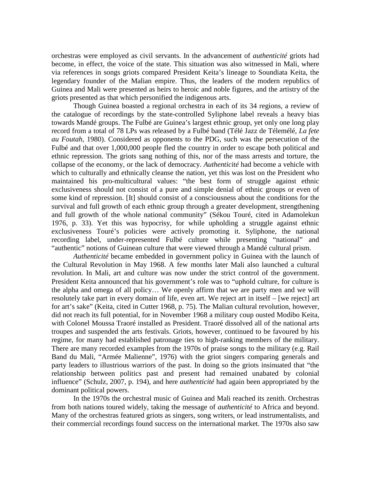orchestras were employed as civil servants. In the advancement of *authenticité* griots had become, in effect, the voice of the state. This situation was also witnessed in Mali, where via references in songs griots compared President Keita's lineage to Soundiata Keita, the legendary founder of the Malian empire. Thus, the leaders of the modern republics of Guinea and Mali were presented as heirs to heroic and noble figures, and the artistry of the griots presented as that which personified the indigenous arts.

Though Guinea boasted a regional orchestra in each of its 34 regions, a review of the catalogue of recordings by the state-controlled Syliphone label reveals a heavy bias towards Mandé groups. The Fulbé are Guinea's largest ethnic group, yet only one long play record from a total of 78 LPs was released by a Fulbé band (Télé Jazz de Télemélé, *La fete au Foutah*, 1980). Considered as opponents to the PDG, such was the persecution of the Fulbé and that over 1,000,000 people fled the country in order to escape both political and ethnic repression. The griots sang nothing of this, nor of the mass arrests and torture, the collapse of the economy, or the lack of democracy. *Authenticité* had become a vehicle with which to culturally and ethnically cleanse the nation, yet this was lost on the President who maintained his pro-multicultural values: "the best form of struggle against ethnic exclusiveness should not consist of a pure and simple denial of ethnic groups or even of some kind of repression. [It] should consist of a consciousness about the conditions for the survival and full growth of each ethnic group through a greater development, strengthening and full growth of the whole national community" (Sékou Touré, cited in Adamolekun 1976, p. 33). Yet this was hypocrisy, for while upholding a struggle against ethnic exclusiveness Touré's policies were actively promoting it. Syliphone, the national recording label, under-represented Fulbé culture while presenting "national" and "authentic" notions of Guinean culture that were viewed through a Mandé cultural prism.

*Authenticité* became embedded in government policy in Guinea with the launch of the Cultural Revolution in May 1968. A few months later Mali also launched a cultural revolution. In Mali, art and culture was now under the strict control of the government. President Keita announced that his government's role was to "uphold culture, for culture is the alpha and omega of all policy… We openly affirm that we are party men and we will resolutely take part in every domain of life, even art. We reject art in itself – [we reject] art for art's sake" (Keita, cited in Cutter 1968, p. 75). The Malian cultural revolution, however, did not reach its full potential, for in November 1968 a military coup ousted Modibo Keita, with Colonel Moussa Traoré installed as President. Traoré dissolved all of the national arts troupes and suspended the arts festivals. Griots, however, continued to be favoured by his regime, for many had established patronage ties to high-ranking members of the military. There are many recorded examples from the 1970s of praise songs to the military (e.g. Rail Band du Mali, "Armée Malienne", 1976) with the griot singers comparing generals and party leaders to illustrious warriors of the past. In doing so the griots insinuated that "the relationship between politics past and present had remained unabated by colonial influence" (Schulz, 2007, p. 194), and here *authenticité* had again been appropriated by the dominant political powers.

In the 1970s the orchestral music of Guinea and Mali reached its zenith. Orchestras from both nations toured widely, taking the message of *authenticité* to Africa and beyond. Many of the orchestras featured griots as singers, song writers, or lead instrumentalists, and their commercial recordings found success on the international market. The 1970s also saw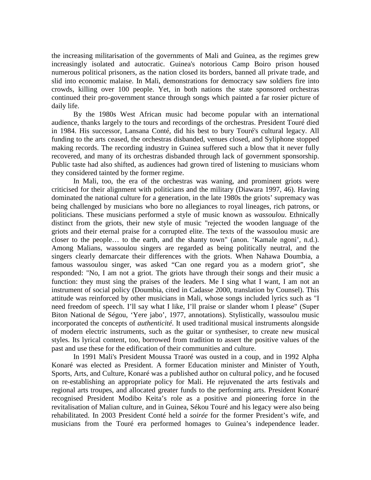the increasing militarisation of the governments of Mali and Guinea, as the regimes grew increasingly isolated and autocratic. Guinea's notorious Camp Boiro prison housed numerous political prisoners, as the nation closed its borders, banned all private trade, and slid into economic malaise. In Mali, demonstrations for democracy saw soldiers fire into crowds, killing over 100 people. Yet, in both nations the state sponsored orchestras continued their pro-government stance through songs which painted a far rosier picture of daily life.

By the 1980s West African music had become popular with an international audience, thanks largely to the tours and recordings of the orchestras. President Touré died in 1984. His successor, Lansana Conté, did his best to bury Touré's cultural legacy. All funding to the arts ceased, the orchestras disbanded, venues closed, and Syliphone stopped making records. The recording industry in Guinea suffered such a blow that it never fully recovered, and many of its orchestras disbanded through lack of government sponsorship. Public taste had also shifted, as audiences had grown tired of listening to musicians whom they considered tainted by the former regime.

In Mali, too, the era of the orchestras was waning, and prominent griots were criticised for their alignment with politicians and the military (Diawara 1997, 46). Having dominated the national culture for a generation, in the late 1980s the griots' supremacy was being challenged by musicians who bore no allegiances to royal lineages, rich patrons, or politicians. These musicians performed a style of music known as *wassoulou*. Ethnically distinct from the griots, their new style of music "rejected the wooden language of the griots and their eternal praise for a corrupted elite. The texts of the wassoulou music are closer to the people… to the earth, and the shanty town" (anon. 'Kamale ngoni', n.d.). Among Malians, wassoulou singers are regarded as being politically neutral, and the singers clearly demarcate their differences with the griots. When Nahawa Doumbia, a famous wassoulou singer, was asked "Can one regard you as a modern griot", she responded: "No, I am not a griot. The griots have through their songs and their music a function: they must sing the praises of the leaders. Me I sing what I want, I am not an instrument of social policy (Doumbia, cited in Cadasse 2000, translation by Counsel). This attitude was reinforced by other musicians in Mali, whose songs included lyrics such as "I need freedom of speech. I'll say what I like, I'll praise or slander whom I please" (Super Biton National de Ségou, 'Yere jabo', 1977, annotations). Stylistically, wassoulou music incorporated the concepts of *authenticité*. It used traditional musical instruments alongside of modern electric instruments, such as the guitar or synthesiser, to create new musical styles. Its lyrical content, too, borrowed from tradition to assert the positive values of the past and use these for the edification of their communities and culture.

In 1991 Mali's President Moussa Traoré was ousted in a coup, and in 1992 Alpha Konaré was elected as President. A former Education minister and Minister of Youth, Sports, Arts, and Culture, Konaré was a published author on cultural policy, and he focused on re-establishing an appropriate policy for Mali. He rejuvenated the arts festivals and regional arts troupes, and allocated greater funds to the performing arts. President Konaré recognised President Modibo Keita's role as a positive and pioneering force in the revitalisation of Malian culture, and in Guinea, Sékou Touré and his legacy were also being rehabilitated. In 2003 President Conté held a *soirée* for the former President's wife, and musicians from the Touré era performed homages to Guinea's independence leader.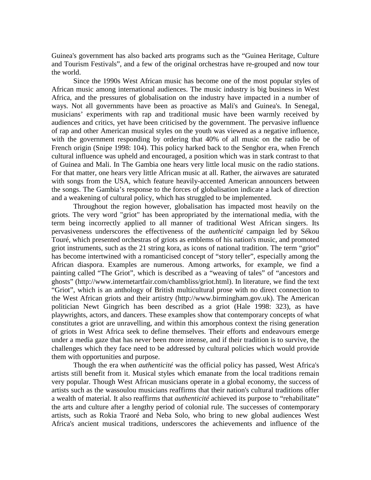Guinea's government has also backed arts programs such as the "Guinea Heritage, Culture and Tourism Festivals", and a few of the original orchestras have re-grouped and now tour the world.

Since the 1990s West African music has become one of the most popular styles of African music among international audiences. The music industry is big business in West Africa, and the pressures of globalisation on the industry have impacted in a number of ways. Not all governments have been as proactive as Mali's and Guinea's. In Senegal, musicians' experiments with rap and traditional music have been warmly received by audiences and critics, yet have been criticised by the government. The pervasive influence of rap and other American musical styles on the youth was viewed as a negative influence, with the government responding by ordering that 40% of all music on the radio be of French origin (Snipe 1998: 104). This policy harked back to the Senghor era, when French cultural influence was upheld and encouraged, a position which was in stark contrast to that of Guinea and Mali. In The Gambia one hears very little local music on the radio stations. For that matter, one hears very little African music at all. Rather, the airwaves are saturated with songs from the USA, which feature heavily-accented American announcers between the songs. The Gambia's response to the forces of globalisation indicate a lack of direction and a weakening of cultural policy, which has struggled to be implemented.

Throughout the region however, globalisation has impacted most heavily on the griots. The very word "griot" has been appropriated by the international media, with the term being incorrectly applied to all manner of traditional West African singers. Its pervasiveness underscores the effectiveness of the *authenticité* campaign led by Sékou Touré, which presented orchestras of griots as emblems of his nation's music, and promoted griot instruments, such as the 21 string kora, as icons of national tradition. The term "griot" has become intertwined with a romanticised concept of "story teller", especially among the African diaspora. Examples are numerous. Among artworks, for example, we find a painting called "The Griot", which is described as a "weaving of tales" of "ancestors and ghosts" (http://www.internetartfair.com/chambliss/griot.html). In literature, we find the text "Griot", which is an anthology of British multicultural prose with no direct connection to the West African griots and their artistry (http://www.birmingham.gov.uk). The American politician Newt Gingrich has been described as a griot (Hale 1998: 323), as have playwrights, actors, and dancers. These examples show that contemporary concepts of what constitutes a griot are unravelling, and within this amorphous context the rising generation of griots in West Africa seek to define themselves. Their efforts and endeavours emerge under a media gaze that has never been more intense, and if their tradition is to survive, the challenges which they face need to be addressed by cultural policies which would provide them with opportunities and purpose.

Though the era when *authenticité* was the official policy has passed, West Africa's artists still benefit from it. Musical styles which emanate from the local traditions remain very popular. Though West African musicians operate in a global economy, the success of artists such as the wassoulou musicians reaffirms that their nation's cultural traditions offer a wealth of material. It also reaffirms that *authenticité* achieved its purpose to "rehabilitate" the arts and culture after a lengthy period of colonial rule. The successes of contemporary artists, such as Rokia Traoré and Neba Solo, who bring to new global audiences West Africa's ancient musical traditions, underscores the achievements and influence of the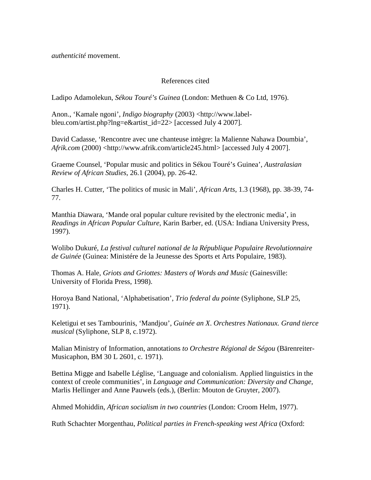*authenticité* movement.

## References cited

Ladipo Adamolekun, *Sékou Touré's Guinea* (London: Methuen & Co Ltd, 1976).

Anon., 'Kamale ngoni', *Indigo biography* (2003) <http://www.labelbleu.com/artist.php?lng=e&artist\_id=22> [accessed July 4 2007]*.*

David Cadasse, 'Rencontre avec une chanteuse intègre: la Malienne Nahawa Doumbia', *Afrik.com* (2000) <http://www.afrik.com/article245.html> [accessed July 4 2007].

Graeme Counsel, 'Popular music and politics in Sékou Touré's Guinea', *Australasian Review of African Studies*, 26.1 (2004), pp. 26-42.

Charles H. Cutter, 'The politics of music in Mali', *African Arts*, 1.3 (1968), pp. 38-39, 74- 77.

Manthia Diawara, 'Mande oral popular culture revisited by the electronic media', in *Readings in African Popular Culture*, Karin Barber, ed. (USA: Indiana University Press, 1997).

Wolibo Dukuré, *La festival culturel national de la République Populaire Revolutionnaire de Guinée* (Guinea: Ministére de la Jeunesse des Sports et Arts Populaire, 1983).

Thomas A. Hale, *Griots and Griottes: Masters of Words and Music* (Gainesville: University of Florida Press, 1998).

Horoya Band National, 'Alphabetisation', *Trio federal du pointe* (Syliphone, SLP 25, 1971).

Keletigui et ses Tambourinis, 'Mandjou', *Guinée an X*. *Orchestres Nationaux. Grand tierce musical* (Syliphone, SLP 8, c.1972).

Malian Ministry of Information, annotations *to Orchestre Régional de Ségou* (Bärenreiter-Musicaphon, BM 30 L 2601, c. 1971).

Bettina Migge and Isabelle Léglise, 'Language and colonialism. Applied linguistics in the context of creole communities', in *Language and Communication: Diversity and Change,*  Marlis Hellinger and Anne Pauwels (eds.), (Berlin: Mouton de Gruyter, 2007).

Ahmed Mohiddin, *African socialism in two countries* (London: Croom Helm, 1977).

Ruth Schachter Morgenthau, *Political parties in French-speaking west Africa* (Oxford: